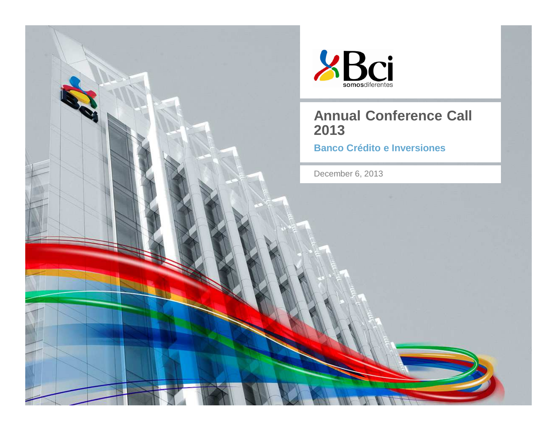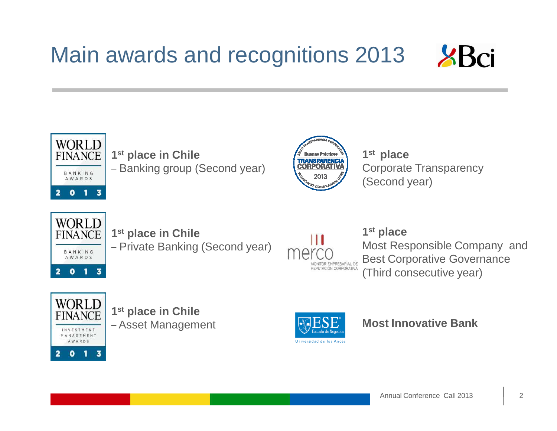### Main awards and recognitions 2013





**1st place in Chile** – Banking group (Second year)



**1st place** Corporate Transparency(Second year)



**1st place in Chile** – Private Banking (Second year)



#### **1st place**

 Most Responsible Company and Best Corporative Governance(Third consecutive year)



**1st place in Chile** – Asset Management



**Most Innovative Bank**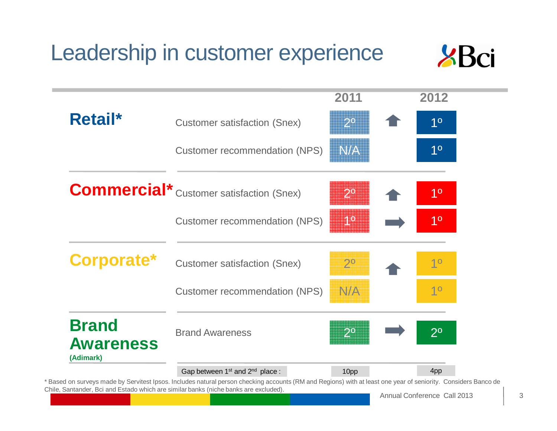# Leadership in customer experience



|                                               |                                                        | 2011           | 2012           |
|-----------------------------------------------|--------------------------------------------------------|----------------|----------------|
| Retail*                                       | <b>Customer satisfaction (Snex)</b>                    | 2 <sup>°</sup> | 1 <sup>0</sup> |
|                                               | <b>Customer recommendation (NPS)</b>                   | N/A            | 1 <sup>0</sup> |
|                                               | <b>Commercial*</b> Customer satisfaction (Snex)        | $2^{\circ}$    | 1 <sup>0</sup> |
|                                               | <b>Customer recommendation (NPS)</b>                   | 10             | 1 <sup>0</sup> |
| Corporate*                                    | <b>Customer satisfaction (Snex)</b>                    | $2^{\circ}$    | 10             |
|                                               | <b>Customer recommendation (NPS)</b>                   | N/A            | 1 <sup>0</sup> |
| <b>Brand</b><br><b>Awareness</b><br>(Adimark) | <b>Brand Awareness</b>                                 | $2^{\circ}$    | $2^{\circ}$    |
|                                               | Gap between 1 <sup>st</sup> and 2 <sup>nd</sup> place: | 10pp           | 4pp            |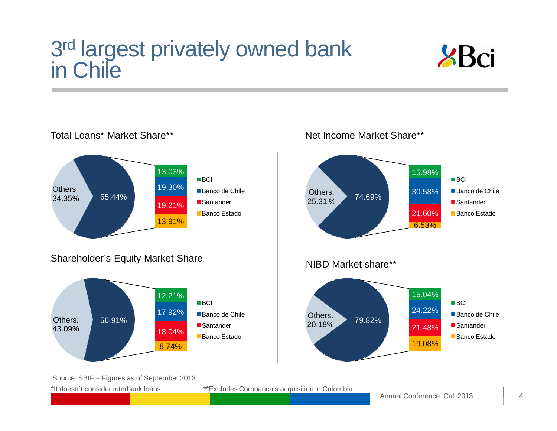# 3<sup>rd</sup> largest privately owned bank<br>in Chile



Total Loans\* Market Share\*\*13.03%19.30%19.21%13.91%65.44%**BCI** Banco de Chile ■ Santander ■Banco Estado Shareholder's Equity Market ShareOthers. 43.09%12.21%17.92%18.04%8.74%56.91%**BCI** Banco de Chile ■ Santander ■ Banco Estado **Others** 34.35%



Source: SBIF – Figures as of September 2013. \*It doesn`t consider interbank loans

\*\*Excludes Corpbanca's acquisition in Colombia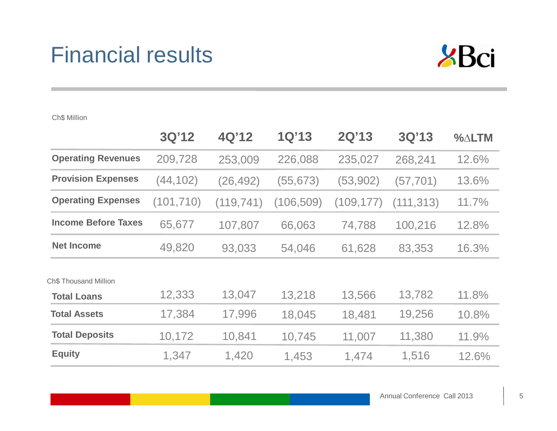### Financial results



|                                             | 3Q'12      | 4Q'12      | 1Q'13      | <b>2Q'13</b> | 3Q'13      | $\%$ $\triangle$ LTM |
|---------------------------------------------|------------|------------|------------|--------------|------------|----------------------|
| <b>Operating Revenues</b>                   | 209,728    | 253,009    | 226,088    | 235,027      | 268,241    | 12.6%                |
| <b>Provision Expenses</b>                   | (44, 102)  | (26, 492)  | (55, 673)  | (53,902)     | (57, 701)  | 13.6%                |
| <b>Operating Expenses</b>                   | (101, 710) | (119, 741) | (106, 509) | (109, 177)   | (111, 313) | 11.7%                |
| <b>Income Before Taxes</b>                  | 65,677     | 107,807    | 66,063     | 74,788       | 100,216    | 12.8%                |
| <b>Net Income</b>                           | 49,820     | 93,033     | 54,046     | 61,628       | 83,353     | 16.3%                |
| Ch\$ Thousand Million<br><b>Total Loans</b> | 12,333     | 13,047     | 13,218     | 13,566       | 13,782     | 11.8%                |
| <b>Total Assets</b>                         | 17,384     | 17,996     | 18,045     | 18,481       | 19,256     | 10.8%                |
| <b>Total Deposits</b>                       | 10,172     | 10,841     | 10,745     | 11,007       | 11,380     | 11.9%                |
| <b>Equity</b>                               | 1,347      | 1,420      | 1,453      | 1,474        | 1,516      | 12.6%                |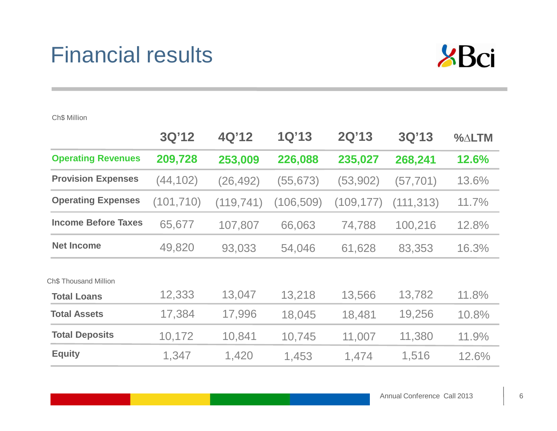### Financial results



|                            | 3Q'12      | 4Q'12      | 1Q'13      | 2Q'13      | 3Q'13      | $\%$ $\triangle$ LTM |
|----------------------------|------------|------------|------------|------------|------------|----------------------|
| <b>Operating Revenues</b>  | 209,728    | 253,009    | 226,088    | 235,027    | 268,241    | 12.6%                |
| <b>Provision Expenses</b>  | (44, 102)  | (26, 492)  | (55, 673)  | (53,902)   | (57, 701)  | 13.6%                |
| <b>Operating Expenses</b>  | (101, 710) | (119, 741) | (106, 509) | (109, 177) | (111, 313) | 11.7%                |
| <b>Income Before Taxes</b> | 65,677     | 107,807    | 66,063     | 74,788     | 100,216    | 12.8%                |
| <b>Net Income</b>          | 49,820     | 93,033     | 54,046     | 61,628     | 83,353     | 16.3%                |
| Ch\$ Thousand Million      |            |            |            |            |            |                      |
| <b>Total Loans</b>         | 12,333     | 13,047     | 13,218     | 13,566     | 13,782     | 11.8%                |
| <b>Total Assets</b>        | 17,384     | 17,996     | 18,045     | 18,481     | 19,256     | 10.8%                |
| <b>Total Deposits</b>      | 10,172     | 10,841     | 10,745     | 11,007     | 11,380     | 11.9%                |
| <b>Equity</b>              | 1,347      | 1,420      | 1,453      | 1,474      | 1,516      | 12.6%                |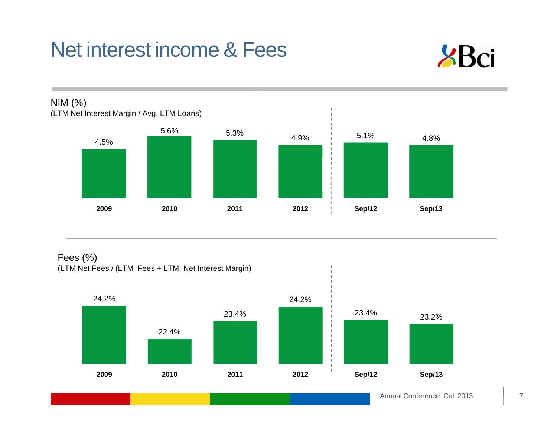# Net interest income & Fees





Fees (%)(LTM Net Fees / (LTM Fees + LTM Net Interest Margin)

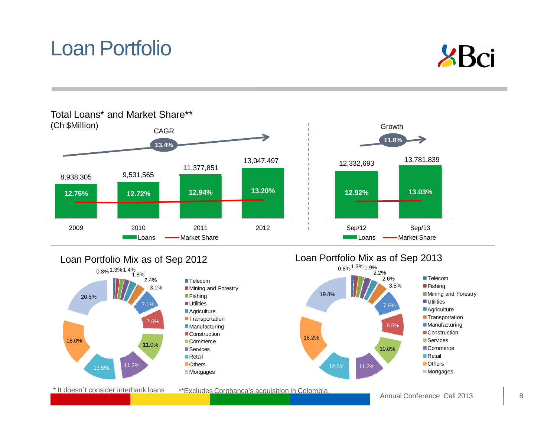### Loan Portfolio





#### Loan Portfolio Mix as of Sep 2012

\* It doesn`t consider interbank loans



\*\*Excludes Corpbanca's acquisition in Colombia



Loan Portfolio Mix as of Sep 2013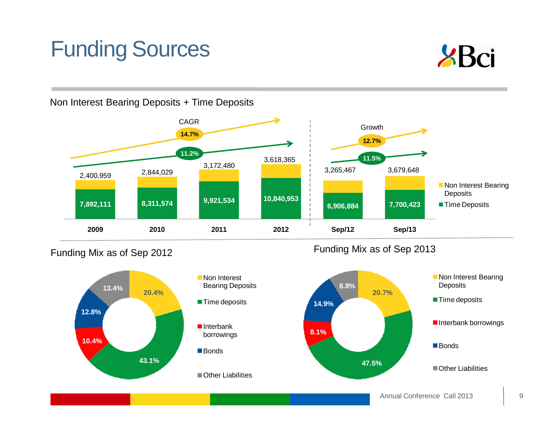# Funding Sources



Non Interest Bearing Deposits + Time Deposits



Funding Mix as of Sep 2012



**Non Interest**  Bearing Deposits**Time deposits** ■Interbank borrowings

Other Liabilities

Funding Mix as of Sep 2013



Annual Conference Call 2013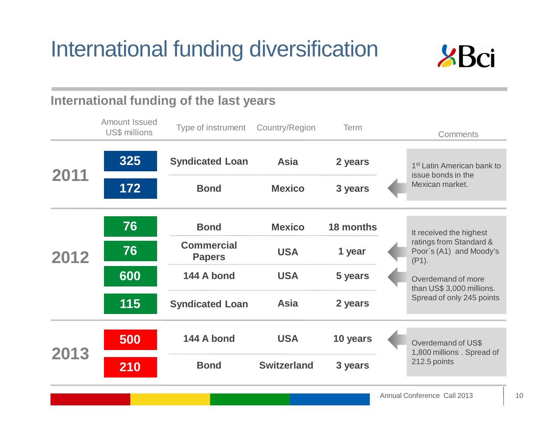# International funding diversification



|      |                                       | International funding of the last years |                    |           |                                                                |
|------|---------------------------------------|-----------------------------------------|--------------------|-----------|----------------------------------------------------------------|
|      | <b>Amount Issued</b><br>US\$ millions | Type of instrument Country/Region       |                    | Term      | Comments                                                       |
|      | 325                                   | <b>Syndicated Loan</b>                  | <b>Asia</b>        | 2 years   | 1 <sup>st</sup> Latin American bank to<br>issue bonds in the   |
| 2011 | 172                                   | <b>Bond</b>                             | <b>Mexico</b>      | 3 years   | Mexican market.                                                |
|      |                                       |                                         |                    |           |                                                                |
|      | 76                                    | <b>Bond</b>                             | <b>Mexico</b>      | 18 months | It received the highest                                        |
| 2012 | 76                                    | <b>Commercial</b><br><b>Papers</b>      | <b>USA</b>         | 1 year    | ratings from Standard &<br>Poor's (A1) and Moody's<br>$(P1)$ . |
|      | 600                                   | 144 A bond                              | <b>USA</b>         | 5 years   | Overdemand of more<br>than US\$ 3,000 millions.                |
|      | 115                                   | <b>Syndicated Loan</b>                  | <b>Asia</b>        | 2 years   | Spread of only 245 points                                      |
|      |                                       |                                         |                    |           |                                                                |
| 2013 | 500                                   | 144 A bond                              | <b>USA</b>         | 10 years  | Overdemand of US\$<br>1,800 millions . Spread of               |
|      | 210                                   | <b>Bond</b>                             | <b>Switzerland</b> | 3 years   | 212.5 points                                                   |
|      |                                       |                                         |                    |           | Annual Conference Call 2013                                    |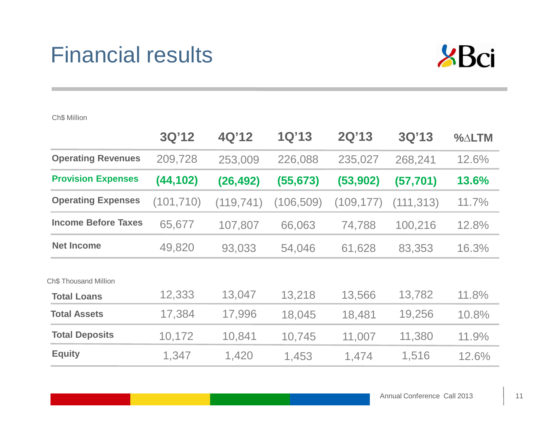### Financial results



|                            | 3Q'12      | 4Q'12      | 1Q'13      | 2Q'13      | 3Q'13      | $\%$ $\triangle$ LTM |
|----------------------------|------------|------------|------------|------------|------------|----------------------|
| <b>Operating Revenues</b>  | 209,728    | 253,009    | 226,088    | 235,027    | 268,241    | 12.6%                |
| <b>Provision Expenses</b>  | (44, 102)  | (26, 492)  | (55, 673)  | (53, 902)  | (57, 701)  | 13.6%                |
| <b>Operating Expenses</b>  | (101, 710) | (119, 741) | (106, 509) | (109, 177) | (111, 313) | 11.7%                |
| <b>Income Before Taxes</b> | 65,677     | 107,807    | 66,063     | 74,788     | 100,216    | 12.8%                |
| <b>Net Income</b>          | 49,820     | 93,033     | 54,046     | 61,628     | 83,353     | 16.3%                |
| Ch\$ Thousand Million      |            |            |            |            |            |                      |
| <b>Total Loans</b>         | 12,333     | 13,047     | 13,218     | 13,566     | 13,782     | 11.8%                |
| <b>Total Assets</b>        | 17,384     | 17,996     | 18,045     | 18,481     | 19,256     | 10.8%                |
| <b>Total Deposits</b>      | 10,172     | 10,841     | 10,745     | 11,007     | 11,380     | 11.9%                |
| <b>Equity</b>              | 1,347      | 1,420      | 1,453      | 1,474      | 1,516      | 12.6%                |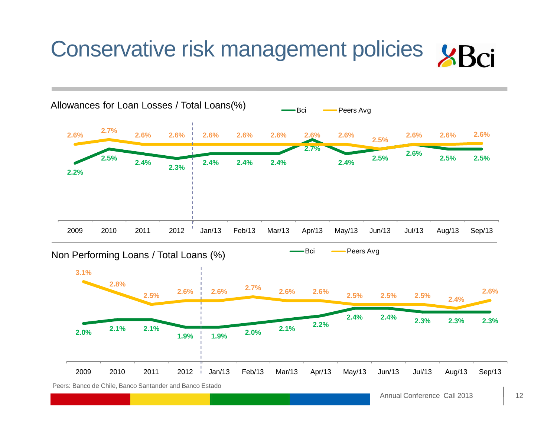# Conservative risk management policies  $\angle$ Rci

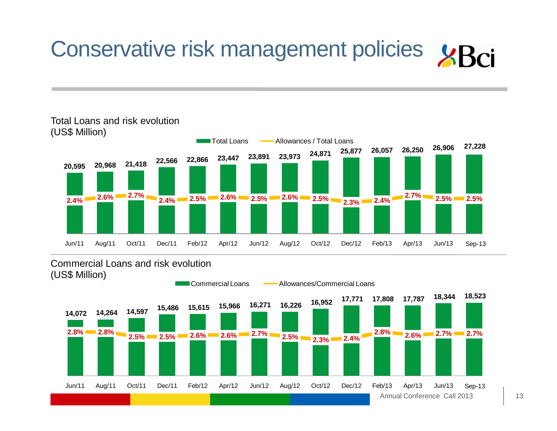# Conservative risk management policies  $\angle$ Bci



#### Total Loans and risk evolution(US\$ Million)

#### Commercial Loans and risk evolution(US\$ Million)

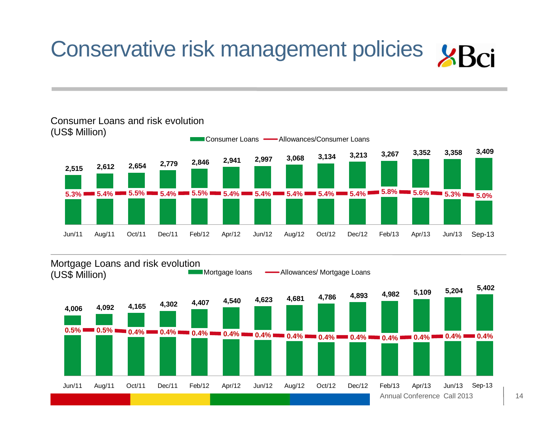# Conservative risk management policies



#### Consumer Loans and risk evolution (US\$ Million)

#### Mortgage loans Mortgage Loans and risk evolution (US\$ Million)

Annual Conference Call 2013**4,006 4,092 4,165 4,302 4,407 4,540 4,623 4,681 4,786 4,893 4,982 5,109 5,204 5,402 0.5% 10.4% 10.4% 10.4% 10.4% 10.4% 10.4% 10.4% 10.4% 10.4% 10.4% 10.4% 10.4% 10.4% 10.4%** Jun/11 Aug/11 Oct/11 Dec/11 Feb/12 Apr/12 Jun/12 Aug/12 Oct/12 Dec/12 Feb/13 Apr/13 Jun/13 Sep-13 Jun/13 Sep-13

- Allowances/ Mortgage Loans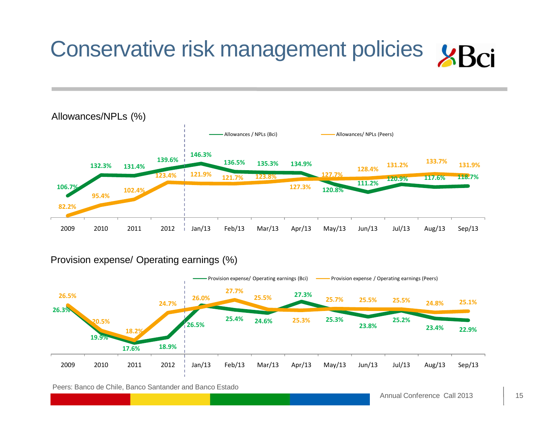



#### Provision expense/ Operating earnings (%)



Peers: Banco de Chile, Banco Santander and Banco Estado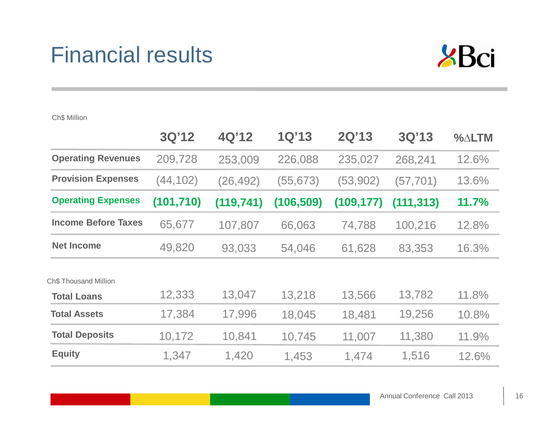### Financial results



|                            | 3Q'12      | 4Q'12      | 1Q'13      | 2Q'13      | 3Q'13      | $\%$ $\triangle$ LTM |
|----------------------------|------------|------------|------------|------------|------------|----------------------|
| <b>Operating Revenues</b>  | 209,728    | 253,009    | 226,088    | 235,027    | 268,241    | 12.6%                |
| <b>Provision Expenses</b>  | (44,102)   | (26, 492)  | (55, 673)  | (53, 902)  | (57, 701)  | 13.6%                |
| <b>Operating Expenses</b>  | (101, 710) | (119, 741) | (106, 509) | (109, 177) | (111, 313) | 11.7%                |
| <b>Income Before Taxes</b> | 65,677     | 107,807    | 66,063     | 74,788     | 100,216    | 12.8%                |
| <b>Net Income</b>          | 49,820     | 93,033     | 54,046     | 61,628     | 83,353     | 16.3%                |
| Ch\$ Thousand Million      |            |            |            |            |            |                      |
| <b>Total Loans</b>         | 12,333     | 13,047     | 13,218     | 13,566     | 13,782     | 11.8%                |
| <b>Total Assets</b>        | 17,384     | 17,996     | 18,045     | 18,481     | 19,256     | 10.8%                |
| <b>Total Deposits</b>      | 10,172     | 10,841     | 10,745     | 11,007     | 11,380     | 11.9%                |
| <b>Equity</b>              | 1,347      | 1,420      | 1,453      | 1,474      | 1,516      | 12.6%                |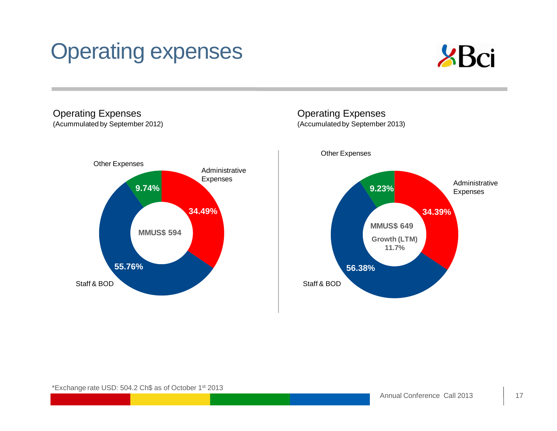# Operating expenses



#### Operating Expenses(Acummulated by September 2012)



#### Operating Expenses(Accumulated by September 2013)

**34.39%56.38%9.23%** Administrative Expenses **4 MMUS\$ 649**<br> **A Contract of the Contract of the Contract of the Contract of the Contract of the Contract of the Contract of the Contract of the Contract of the Contract of the Contract of the Contract of the Contract** Other ExpensesStaff & BOD**Growth (LTM) 11.7%**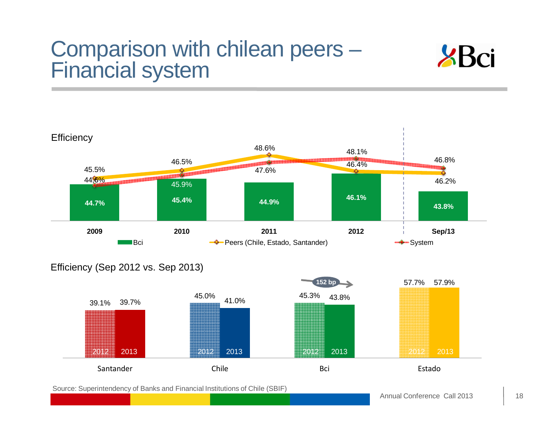### Comparison with chilean peers – Financial system





#### Efficiency (Sep 2012 vs. Sep 2013)



Source: Superintendency of Banks and Financial Institutions of Chile (SBIF)

Annual Conference Call 2013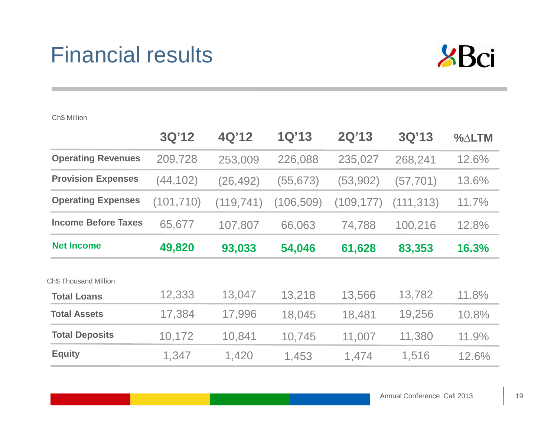### Financial results



|                            | 3Q'12      | 4Q'12      | 1Q'13      | 2Q'13      | 3Q'13      | $\%$ $\triangle$ LTM |
|----------------------------|------------|------------|------------|------------|------------|----------------------|
| <b>Operating Revenues</b>  | 209,728    | 253,009    | 226,088    | 235,027    | 268,241    | 12.6%                |
| <b>Provision Expenses</b>  | (44,102)   | (26, 492)  | (55, 673)  | (53, 902)  | (57, 701)  | 13.6%                |
| <b>Operating Expenses</b>  | (101, 710) | (119, 741) | (106, 509) | (109, 177) | (111, 313) | 11.7%                |
| <b>Income Before Taxes</b> | 65,677     | 107,807    | 66,063     | 74,788     | 100,216    | 12.8%                |
| <b>Net Income</b>          | 49,820     | 93,033     | 54,046     | 61,628     | 83,353     | 16.3%                |
| Ch\$ Thousand Million      |            |            |            |            |            |                      |
| <b>Total Loans</b>         | 12,333     | 13,047     | 13,218     | 13,566     | 13,782     | 11.8%                |
| <b>Total Assets</b>        | 17,384     | 17,996     | 18,045     | 18,481     | 19,256     | 10.8%                |
| <b>Total Deposits</b>      | 10,172     | 10,841     | 10,745     | 11,007     | 11,380     | 11.9%                |
| <b>Equity</b>              | 1,347      | 1,420      | 1,453      | 1,474      | 1,516      | 12.6%                |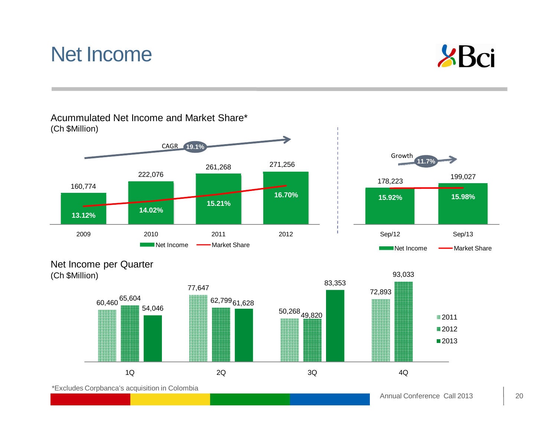#### Annual Conference Call 2013

■2011 ■2012 ■2013



### Net Income



1Q 2Q 3Q 4Q

Acummulated Net Income and Market Share\*(Ch \$Million)

\*Excludes Corpbanca's acquisition in Colombia

60,460<sup>65,604</sup>

4<br>**62,799** 

6<sup>02,799</sup>61,628

54,046

50,268 49,82072,893

 199,027 **15.98%** Sep/12 Sep/13

**SBci** 

Market Share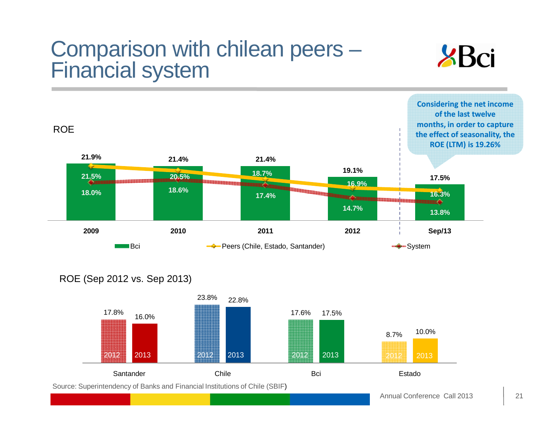### Comparison with chilean peers – Financial system





#### ROE (Sep 2012 vs. Sep 2013)

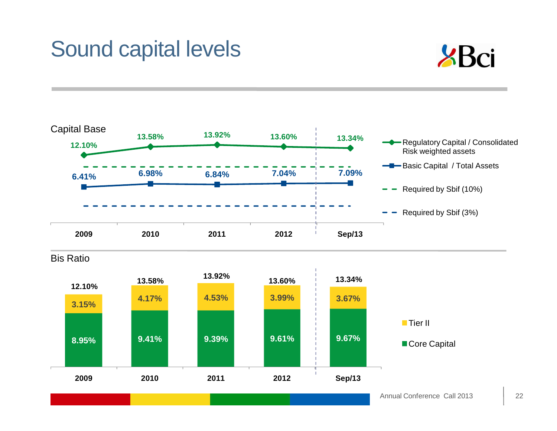# Sound capital levels





22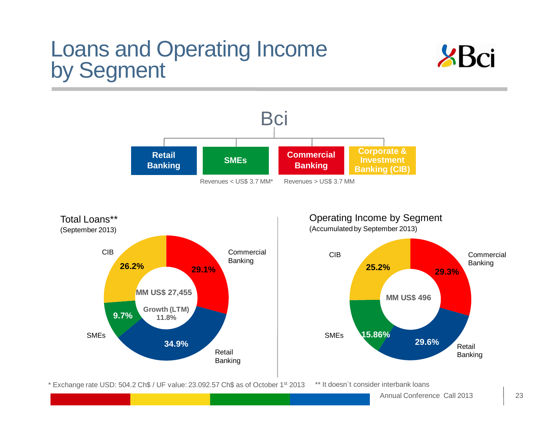# Loans and Operating Income<br>by Segment





\* Exchange rate USD: 504.2 Ch\$ / UF value: 23.092.57 Ch\$ as of October <sup>1</sup>st <sup>2013</sup>\*\* It doesn`t consider interbank loans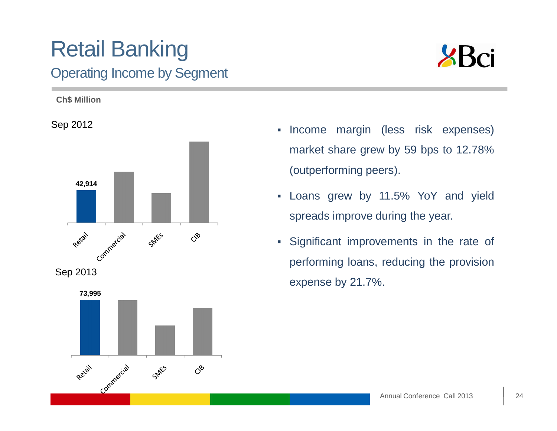### Retail BankingOperating Income by Segment





- $\blacksquare$  Income margin (less risk expenses) market share grew by 59 bps to 12.78%(outperforming peers).
- $\blacksquare$  Loans grew by 11.5% YoY and yieldspreads improve during the year.
- $\blacksquare$  Significant improvements in the rate of performing loans, reducing the provisionexpense by 21.7%.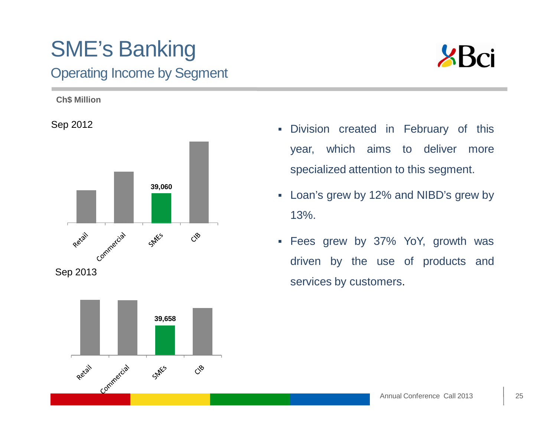### SME's BankingOperating Income by Segment



**Ch\$ Million**

Sep 2012





- $\blacksquare$  Division created in February of thisyear, which aims to deliver morespecialized attention to this segment.
- Loan's grew by 12% and NIBD's grew by13%.
- L. Fees grew by 37% YoY, growth wasdriven by the use of products andservices by customers.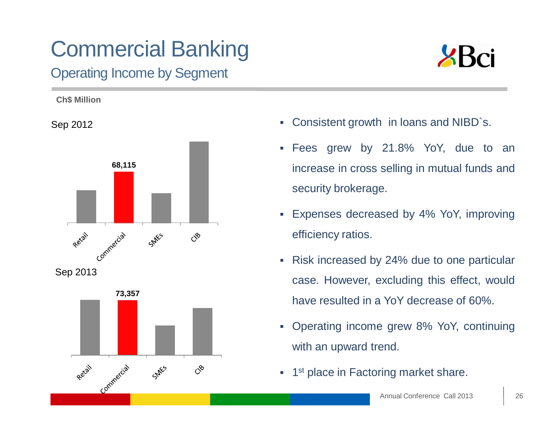## Commercial Banking

### Operating Income by Segment



**Ch\$ Million**

Sep 2012







- Consistent growth in loans and NIBD`s.
- Fees grew by 21.8% YoY, due to anincrease in cross selling in mutual funds andsecurity brokerage.
- Expenses decreased by 4% YoY, improvingefficiency ratios.
- Risk increased by 24% due to one particular case. However, excluding this effect, wouldhave resulted in <sup>a</sup> YoY decrease of 60%.
- Operating income grew 8% YoY, continuingwith an upward trend.
- $\overline{\phantom{a}}$ 1<sup>st</sup> place in Factoring market share.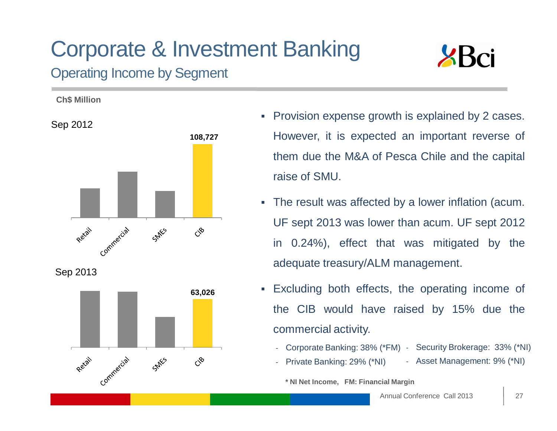### Corporate & Investment Banking Operating Income by Segment







- $\blacksquare$  Provision expense growth is explained by <sup>2</sup> cases. However, it is expected an important reverse of them due the M&A of Pesca Chile and the capital raise of SMU.
- The result was affected by <sup>a</sup> lower inflation (acum. UF sept 2013 was lower than acum. UF sept 2012in 0.24%), effect that was mitigated by theadequate treasury/ALM management.
- ш Excluding both effects, the operating income of the CIB would have raised by 15% due thecommercial activity.
	- Corporate Banking: 38% (\*FM) Security Brokerage: 33% (\*NI)
	- Private Banking: 29% (\*NI)
- Asset Management: 9% (\*NI)

#### **\* NI Net Income, FM: Financial Margin**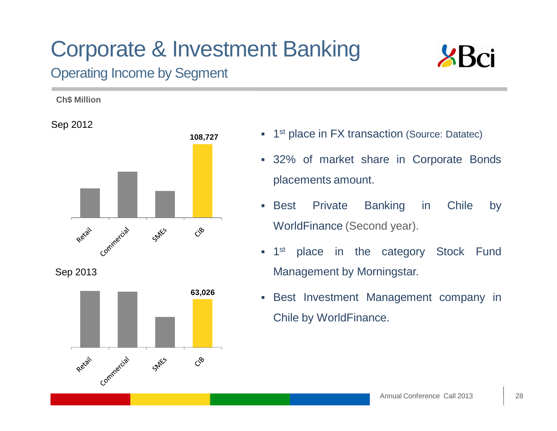# Corporate & Investment Banking

 $\mathcal{S}^{\diamond}$ 



### Operating Income by Segment



- 1<sup>st</sup> place in FX transaction (Source: Datatec)
	- 32% of market share in Corporate Bondsplacements amount.
- **Best** Private Banking in Chile by WorldFinance (Second year).
- $\overline{\phantom{a}}$ 1<sup>st</sup> place in the category Stock Fund Management by Morningstar.
- $\mathbb{R}^n$  Best Investment Management company inChile by WorldFinance.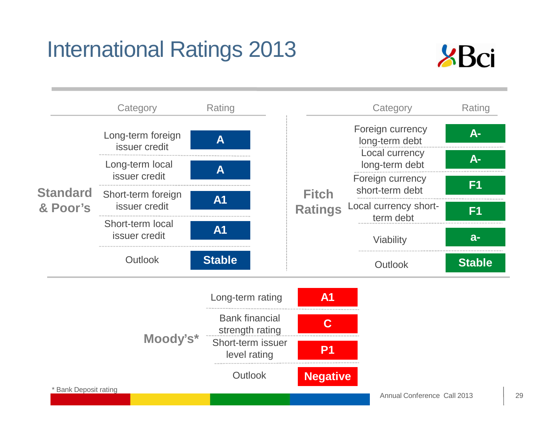### International Ratings 2013



|                            | Category                            | Rating                                                                        |                                | Category                            | Rating         |
|----------------------------|-------------------------------------|-------------------------------------------------------------------------------|--------------------------------|-------------------------------------|----------------|
|                            | Long-term foreign<br>issuer credit  | A                                                                             |                                | Foreign currency<br>long-term debt  | A-             |
|                            | Long-term local                     | A                                                                             |                                | Local currency<br>long-term debt    | A-             |
| <b>Standard</b>            | issuer credit                       |                                                                               |                                | Foreign currency<br>short-term debt | F <sub>1</sub> |
| & Poor's                   | Short-term foreign<br>issuer credit | <b>A1</b>                                                                     | <b>Fitch</b><br><b>Ratings</b> | Local currency short-<br>term debt  | F <sub>1</sub> |
|                            | Short-term local<br>issuer credit   | <b>A1</b>                                                                     |                                | Viability                           | $a-$           |
|                            |                                     |                                                                               |                                |                                     |                |
|                            | Outlook                             | <b>Stable</b>                                                                 |                                | <b>Outlook</b>                      | <b>Stable</b>  |
|                            |                                     | Long-term rating                                                              | A <sub>1</sub>                 |                                     |                |
|                            | Moody's*                            | <b>Bank financial</b><br>strength rating<br>Short-term issuer<br>level rating | C<br>P <sub>1</sub>            |                                     |                |
| <b>Bank Deposit rating</b> |                                     | <b>Outlook</b>                                                                | <b>Negative</b>                |                                     |                |